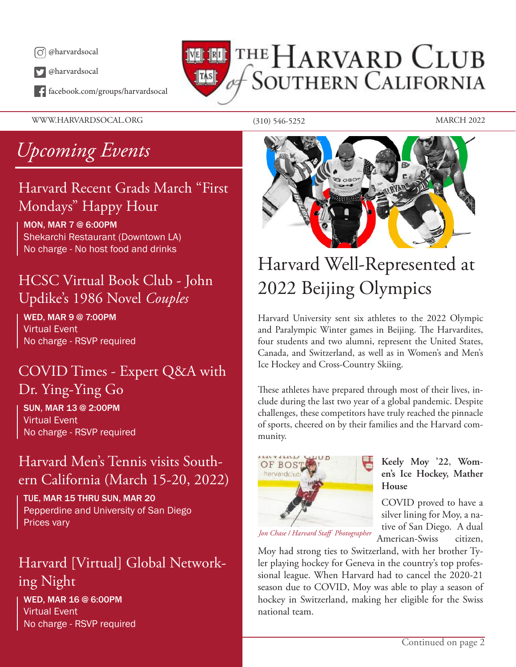

@harvardsocal

facebook.com/groups/harvardsocal

## THE HARVARD CLUB **SOUTHERN CALIFORNIA**  $\|$ TAS $\|$

WWW.HARVARDSOCAL.ORG (310) 546-5252 MARCH 2022

## *Upcoming Events*

### Harvard Recent Grads March "First Mondays" Happy Hour

MON, MAR 7 @ 6:00PM Shekarchi Restaurant (Downtown LA) No charge - No host food and drinks

### HCSC Virtual Book Club - John Updike's 1986 Novel *Couples*

WED, MAR 9 @ 7:00PM Virtual Event No charge - RSVP required

### COVID Times - Expert Q&A with Dr. Ying-Ying Go

SUN, MAR 13 @ 2:00PM Virtual Event No charge - RSVP required

### Harvard Men's Tennis visits Southern California (March 15-20, 2022)

TUE, MAR 15 THRU SUN, MAR 20 Pepperdine and University of San Diego Prices vary

### Harvard [Virtual] Global Networking Night

WED, MAR 16 @ 6:00PM Virtual Event No charge - RSVP required



## Harvard Well-Represented at 2022 Beijing Olympics

Harvard University sent six athletes to the 2022 Olympic and Paralympic Winter games in Beijing. The Harvardites, four students and two alumni, represent the United States, Canada, and Switzerland, as well as in Women's and Men's Ice Hockey and Cross-Country Skiing.

These athletes have prepared through most of their lives, include during the last two year of a global pandemic. Despite challenges, these competitors have truly reached the pinnacle of sports, cheered on by their families and the Harvard community.



### **Keely Moy '22**, **Women's Ice Hockey, Mather House**

COVID proved to have a silver lining for Moy, a native of San Diego. A dual American-Swiss citizen,

Moy had strong ties to Switzerland, with her brother Tyler playing hockey for Geneva in the country's top professional league. When Harvard had to cancel the 2020-21 season due to COVID, Moy was able to play a season of hockey in Switzerland, making her eligible for the Swiss national team.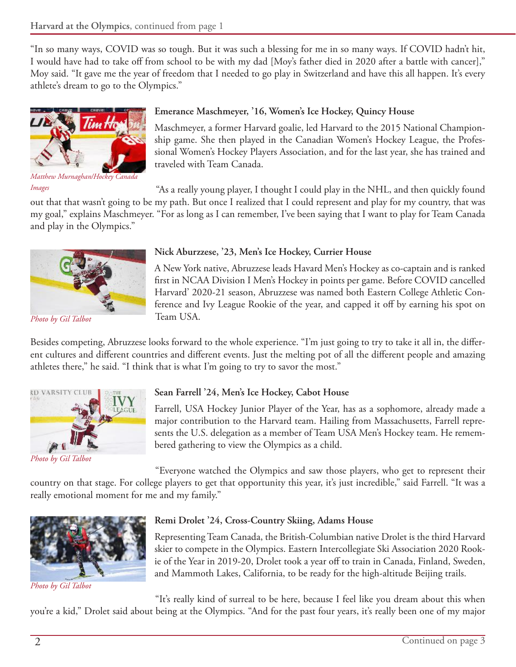"In so many ways, COVID was so tough. But it was such a blessing for me in so many ways. If COVID hadn't hit, I would have had to take off from school to be with my dad [Moy's father died in 2020 after a battle with cancer]," Moy said. "It gave me the year of freedom that I needed to go play in Switzerland and have this all happen. It's every athlete's dream to go to the Olympics."



*Matthew Murnaghan/Hockey Canada* 

*Images*

### **Emerance Maschmeyer, '16, Women's Ice Hockey, Quincy House**

Maschmeyer, a former Harvard goalie, led Harvard to the 2015 National Championship game. She then played in the Canadian Women's Hockey League, the Professional Women's Hockey Players Association, and for the last year, she has trained and traveled with Team Canada.

"As a really young player, I thought I could play in the NHL, and then quickly found

out that that wasn't going to be my path. But once I realized that I could represent and play for my country, that was my goal," explains Maschmeyer. "For as long as I can remember, I've been saying that I want to play for Team Canada and play in the Olympics."



*Photo by Gil Talbot*

### **Nick Aburzzese, '23, Men's Ice Hockey, Currier House**

A New York native, Abruzzese leads Havard Men's Hockey as co-captain and is ranked first in NCAA Division I Men's Hockey in points per game. Before COVID cancelled Harvard' 2020-21 season, Abruzzese was named both Eastern College Athletic Conference and Ivy League Rookie of the year, and capped it off by earning his spot on Team USA.

Besides competing, Abruzzese looks forward to the whole experience. "I'm just going to try to take it all in, the different cultures and different countries and different events. Just the melting pot of all the different people and amazing athletes there," he said. "I think that is what I'm going to try to savor the most."



*Photo by Gil Talbot*

### **Sean Farrell '24, Men's Ice Hockey, Cabot House**

Farrell, USA Hockey Junior Player of the Year, has as a sophomore, already made a major contribution to the Harvard team. Hailing from Massachusetts, Farrell represents the U.S. delegation as a member of Team USA Men's Hockey team. He remembered gathering to view the Olympics as a child.

"Everyone watched the Olympics and saw those players, who get to represent their

country on that stage. For college players to get that opportunity this year, it's just incredible," said Farrell. "It was a really emotional moment for me and my family."



*Photo by Gil Talbot*

### **Remi Drolet '24, Cross-Country Skiing, Adams House**

Representing Team Canada, the British-Columbian native Drolet is the third Harvard skier to compete in the Olympics. Eastern Intercollegiate Ski Association 2020 Rookie of the Year in 2019-20, Drolet took a year off to train in Canada, Finland, Sweden, and Mammoth Lakes, California, to be ready for the high-altitude Beijing trails.

"It's really kind of surreal to be here, because I feel like you dream about this when you're a kid," Drolet said about being at the Olympics. "And for the past four years, it's really been one of my major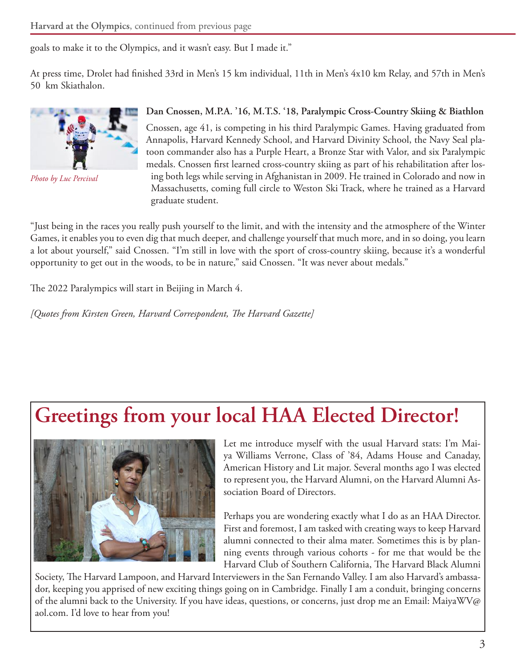goals to make it to the Olympics, and it wasn't easy. But I made it."

At press time, Drolet had finished 33rd in Men's 15 km individual, 11th in Men's 4x10 km Relay, and 57th in Men's 50 km Skiathalon.



*Photo by Luc Percival*

#### **Dan Cnossen, M.P.A. '16, M.T.S. '18, Paralympic Cross-Country Skiing & Biathlon**

Cnossen, age 41, is competing in his third Paralympic Games. Having graduated from Annapolis, Harvard Kennedy School, and Harvard Divinity School, the Navy Seal platoon commander also has a Purple Heart, a Bronze Star with Valor, and six Paralympic medals. Cnossen first learned cross-country skiing as part of his rehabilitation after losing both legs while serving in Afghanistan in 2009. He trained in Colorado and now in Massachusetts, coming full circle to Weston Ski Track, where he trained as a Harvard graduate student.

"Just being in the races you really push yourself to the limit, and with the intensity and the atmosphere of the Winter Games, it enables you to even dig that much deeper, and challenge yourself that much more, and in so doing, you learn a lot about yourself," said Cnossen. "I'm still in love with the sport of cross-country skiing, because it's a wonderful opportunity to get out in the woods, to be in nature," said Cnossen. "It was never about medals."

The 2022 Paralympics will start in Beijing in March 4.

*[Quotes from Kirsten Green, Harvard Correspondent, The Harvard Gazette]*

## **Greetings from your local HAA Elected Director!**



Let me introduce myself with the usual Harvard stats: I'm Maiya Williams Verrone, Class of '84, Adams House and Canaday, American History and Lit major. Several months ago I was elected to represent you, the Harvard Alumni, on the Harvard Alumni Association Board of Directors.

Perhaps you are wondering exactly what I do as an HAA Director. First and foremost, I am tasked with creating ways to keep Harvard alumni connected to their alma mater. Sometimes this is by planning events through various cohorts - for me that would be the Harvard Club of Southern California, The Harvard Black Alumni

Society, The Harvard Lampoon, and Harvard Interviewers in the San Fernando Valley. I am also Harvard's ambassador, keeping you apprised of new exciting things going on in Cambridge. Finally I am a conduit, bringing concerns of the alumni back to the University. If you have ideas, questions, or concerns, just drop me an Email: MaiyaWV@ aol.com. I'd love to hear from you!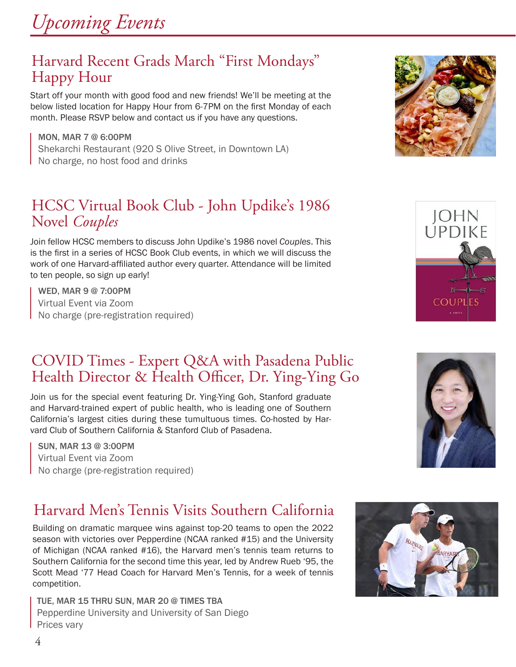### Harvard Recent Grads March "First Mondays" Happy Hour

Start off your month with good food and new friends! We'll be meeting at the below listed location for Happy Hour from 6-7PM on the first Monday of each month. Please RSVP below and contact us if you have any questions.

MON, MAR 7 @ 6:00PM Shekarchi Restaurant (920 S Olive Street, in Downtown LA) No charge, no host food and drinks

### HCSC Virtual Book Club - John Updike's 1986 Novel *Couples*

Join fellow HCSC members to discuss John Updike's 1986 novel *Couples*. This is the first in a series of HCSC Book Club events, in which we will discuss the work of one Harvard-affiliated author every quarter. Attendance will be limited to ten people, so sign up early!

WED, MAR 9 @ 7:00PM Virtual Event via Zoom No charge (pre-registration required)

### COVID Times - Expert Q&A with Pasadena Public Health Director & Health Officer, Dr. Ying-Ying Go

Join us for the special event featuring Dr. Ying-Ying Goh, Stanford graduate and Harvard-trained expert of public health, who is leading one of Southern California's largest cities during these tumultuous times. Co-hosted by Harvard Club of Southern California & Stanford Club of Pasadena.

SUN, MAR 13 @ 3:00PM Virtual Event via Zoom No charge (pre-registration required)

### Harvard Men's Tennis Visits Southern California

Building on dramatic marquee wins against top-20 teams to open the 2022 season with victories over Pepperdine (NCAA ranked #15) and the University of Michigan (NCAA ranked #16), the Harvard men's tennis team returns to Southern California for the second time this year, led by Andrew Rueb '95, the Scott Mead '77 Head Coach for Harvard Men's Tennis, for a week of tennis competition.

TUE, MAR 15 THRU SUN, MAR 20 @ TIMES TBA Pepperdine University and University of San Diego Prices vary







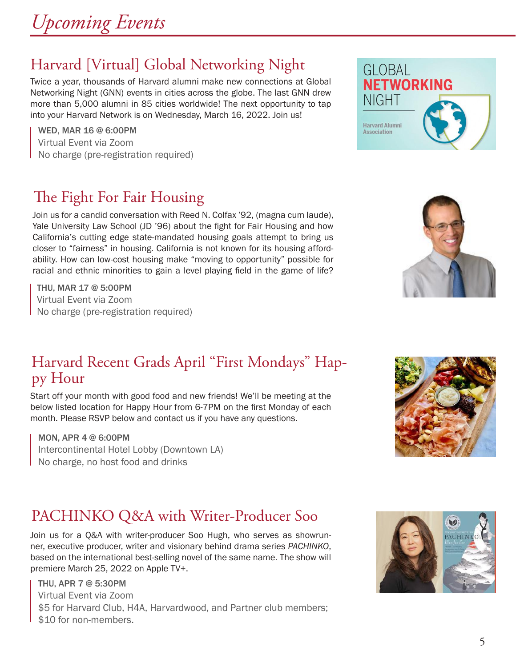### Harvard [Virtual] Global Networking Night

Twice a year, thousands of Harvard alumni make new connections at Global Networking Night (GNN) events in cities across the globe. The last GNN drew more than 5,000 alumni in 85 cities worldwide! The next opportunity to tap into your Harvard Network is on Wednesday, March 16, 2022. Join us!

WED, MAR 16 @ 6:00PM Virtual Event via Zoom No charge (pre-registration required)

### The Fight For Fair Housing

Join us for a candid conversation with Reed N. Colfax '92, (magna cum laude), Yale University Law School (JD '96) about the fight for Fair Housing and how California's cutting edge state-mandated housing goals attempt to bring us closer to "fairness" in housing. California is not known for its housing affordability. How can low-cost housing make "moving to opportunity" possible for racial and ethnic minorities to gain a level playing field in the game of life?

THU, MAR 17 @ 5:00PM Virtual Event via Zoom No charge (pre-registration required)

### Harvard Recent Grads April "First Mondays" Happy Hour

Start off your month with good food and new friends! We'll be meeting at the below listed location for Happy Hour from 6-7PM on the first Monday of each month. Please RSVP below and contact us if you have any questions.

MON, APR 4 @ 6:00PM Intercontinental Hotel Lobby (Downtown LA) No charge, no host food and drinks

### PACHINKO Q&A with Writer-Producer Soo

Join us for a Q&A with writer-producer Soo Hugh, who serves as showrunner, executive producer, writer and visionary behind drama series *PACHINKO*, based on the international best-selling novel of the same name. The show will premiere March 25, 2022 on Apple TV+.

#### THU, APR 7 @ 5:30PM Virtual Event via Zoom \$5 for Harvard Club, H4A, Harvardwood, and Partner club members; \$10 for non-members.







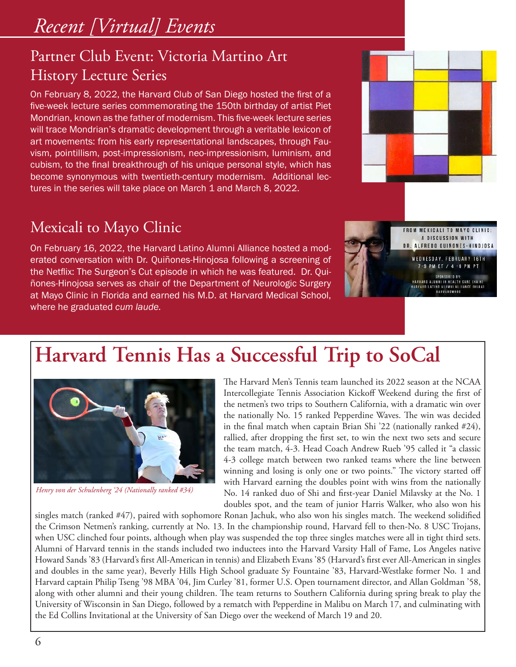## *Recent [Virtual] Events*

### Partner Club Event: Victoria Martino Art History Lecture Series

On February 8, 2022, the Harvard Club of San Diego hosted the first of a five-week lecture series commemorating the 150th birthday of artist Piet Mondrian, known as the father of modernism. This five-week lecture series will trace Mondrian's dramatic development through a veritable lexicon of art movements: from his early representational landscapes, through Fauvism, pointillism, post-impressionism, neo-impressionism, luminism, and cubism, to the final breakthrough of his unique personal style, which has become synonymous with twentieth-century modernism. Additional lectures in the series will take place on March 1 and March 8, 2022.

### Mexicali to Mayo Clinic

On February 16, 2022, the Harvard Latino Alumni Alliance hosted a moderated conversation with Dr. Quiñones-Hinojosa following a screening of the Netflix: The Surgeon's Cut episode in which he was featured. Dr. Quiñones-Hinojosa serves as chair of the Department of Neurologic Surgery at Mayo Clinic in Florida and earned his M.D. at Harvard Medical School, where he graduated *cum laude.*



**MEXICALI TO MAYO CLIN** A DISCUSSION WITH DR. ALFREDO QUIÑONES-HINOJOSA WEDNESDAY, FEBRUARY 16TH 7-9 PM ET / 4 -6 PM PT

SPONSORED BY:<br>HARVARD ALUMNI IN HEALTH CARE (HAIH)<br>HARVARD LATING ALUMNI ALLIANCE (HLAA)<br>HARVARDWOOD

# **Harvard Tennis Has a Successful Trip to SoCal**



*Henry von der Schulenberg '24 (Nationally ranked #34)*

The Harvard Men's Tennis team launched its 2022 season at the NCAA Intercollegiate Tennis Association Kickoff Weekend during the first of the netmen's two trips to Southern California, with a dramatic win over the nationally No. 15 ranked Pepperdine Waves. The win was decided in the final match when captain Brian Shi '22 (nationally ranked #24), rallied, after dropping the first set, to win the next two sets and secure the team match, 4-3. Head Coach Andrew Rueb '95 called it "a classic 4-3 college match between two ranked teams where the line between winning and losing is only one or two points." The victory started off with Harvard earning the doubles point with wins from the nationally No. 14 ranked duo of Shi and first-year Daniel Milavsky at the No. 1 doubles spot, and the team of junior Harris Walker, who also won his

singles match (ranked #47), paired with sophomore Ronan Jachuk, who also won his singles match. The weekend solidified the Crimson Netmen's ranking, currently at No. 13. In the championship round, Harvard fell to then-No. 8 USC Trojans, when USC clinched four points, although when play was suspended the top three singles matches were all in tight third sets. Alumni of Harvard tennis in the stands included two inductees into the Harvard Varsity Hall of Fame, Los Angeles native Howard Sands '83 (Harvard's first All-American in tennis) and Elizabeth Evans '85 (Harvard's first ever All-American in singles and doubles in the same year), Beverly Hills High School graduate Sy Fountaine '83, Harvard-Westlake former No. 1 and Harvard captain Philip Tseng '98 MBA '04, Jim Curley '81, former U.S. Open tournament director, and Allan Goldman '58, along with other alumni and their young children. The team returns to Southern California during spring break to play the University of Wisconsin in San Diego, followed by a rematch with Pepperdine in Malibu on March 17, and culminating with the Ed Collins Invitational at the University of San Diego over the weekend of March 19 and 20.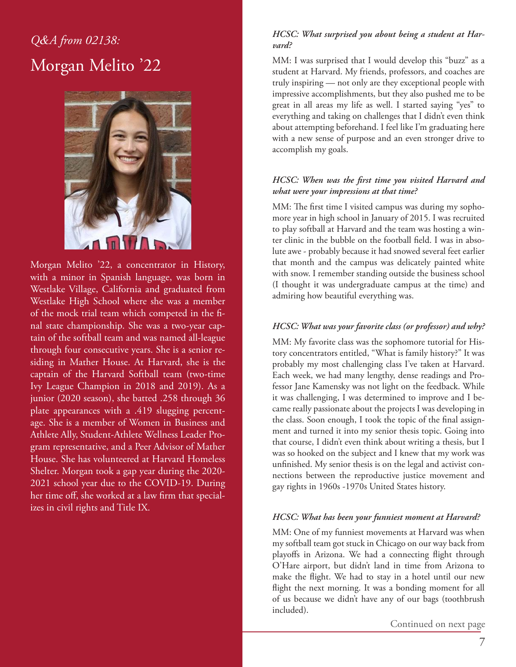### *Q&A from 02138:* Morgan Melito '22



Morgan Melito '22, a concentrator in History, with a minor in Spanish language, was born in Westlake Village, California and graduated from Westlake High School where she was a member of the mock trial team which competed in the final state championship. She was a two-year captain of the softball team and was named all-league through four consecutive years. She is a senior residing in Mather House. At Harvard, she is the captain of the Harvard Softball team (two-time Ivy League Champion in 2018 and 2019). As a junior (2020 season), she batted .258 through 36 plate appearances with a .419 slugging percentage. She is a member of Women in Business and Athlete Ally, Student-Athlete Wellness Leader Program representative, and a Peer Advisor of Mather House. She has volunteered at Harvard Homeless Shelter. Morgan took a gap year during the 2020- 2021 school year due to the COVID-19. During her time off, she worked at a law firm that specializes in civil rights and Title IX.

#### *HCSC: What surprised you about being a student at Harvard?*

MM: I was surprised that I would develop this "buzz" as a student at Harvard. My friends, professors, and coaches are truly inspiring — not only are they exceptional people with impressive accomplishments, but they also pushed me to be great in all areas my life as well. I started saying "yes" to everything and taking on challenges that I didn't even think about attempting beforehand. I feel like I'm graduating here with a new sense of purpose and an even stronger drive to accomplish my goals.

#### *HCSC: When was the first time you visited Harvard and what were your impressions at that time?*

MM: The first time I visited campus was during my sophomore year in high school in January of 2015. I was recruited to play softball at Harvard and the team was hosting a winter clinic in the bubble on the football field. I was in absolute awe - probably because it had snowed several feet earlier that month and the campus was delicately painted white with snow. I remember standing outside the business school (I thought it was undergraduate campus at the time) and admiring how beautiful everything was.

### *HCSC: What was your favorite class (or professor) and why?*

MM: My favorite class was the sophomore tutorial for History concentrators entitled, "What is family history?" It was probably my most challenging class I've taken at Harvard. Each week, we had many lengthy, dense readings and Professor Jane Kamensky was not light on the feedback. While it was challenging, I was determined to improve and I became really passionate about the projects I was developing in the class. Soon enough, I took the topic of the final assignment and turned it into my senior thesis topic. Going into that course, I didn't even think about writing a thesis, but I was so hooked on the subject and I knew that my work was unfinished. My senior thesis is on the legal and activist connections between the reproductive justice movement and gay rights in 1960s -1970s United States history.

#### *HCSC: What has been your funniest moment at Harvard?*

MM: One of my funniest movements at Harvard was when my softball team got stuck in Chicago on our way back from playoffs in Arizona. We had a connecting flight through O'Hare airport, but didn't land in time from Arizona to make the flight. We had to stay in a hotel until our new flight the next morning. It was a bonding moment for all of us because we didn't have any of our bags (toothbrush included).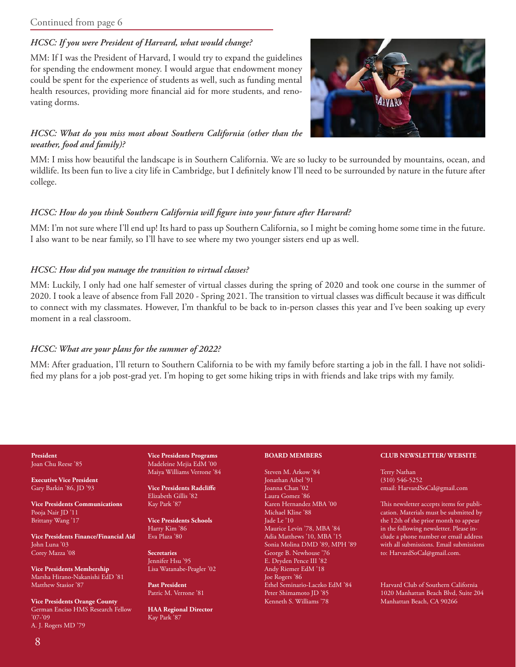### *HCSC: If you were President of Harvard, what would change?*

MM: If I was the President of Harvard, I would try to expand the guidelines for spending the endowment money. I would argue that endowment money could be spent for the experience of students as well, such as funding mental health resources, providing more financial aid for more students, and renovating dorms.

#### *HCSC: What do you miss most about Southern California (other than the weather, food and family)?*

MM: I miss how beautiful the landscape is in Southern California. We are so lucky to be surrounded by mountains, ocean, and wildlife. Its been fun to live a city life in Cambridge, but I definitely know I'll need to be surrounded by nature in the future after college.

#### *HCSC: How do you think Southern California will figure into your future after Harvard?*

MM: I'm not sure where I'll end up! Its hard to pass up Southern California, so I might be coming home some time in the future. I also want to be near family, so I'll have to see where my two younger sisters end up as well.

#### *HCSC: How did you manage the transition to virtual classes?*

MM: Luckily, I only had one half semester of virtual classes during the spring of 2020 and took one course in the summer of 2020. I took a leave of absence from Fall 2020 - Spring 2021. The transition to virtual classes was difficult because it was difficult to connect with my classmates. However, I'm thankful to be back to in-person classes this year and I've been soaking up every moment in a real classroom.

#### *HCSC: What are your plans for the summer of 2022?*

MM: After graduation, I'll return to Southern California to be with my family before starting a job in the fall. I have not solidified my plans for a job post-grad yet. I'm hoping to get some hiking trips in with friends and lake trips with my family.

#### **President** Joan Chu Reese '85

**Executive Vice President** Gary Barkin '86, JD '93

**Vice Presidents Communications** Pooja Nair JD '11 Brittany Wang '17

**Vice Presidents Finance/Financial Aid** John Luna '03 Corey Mazza '08

**Vice Presidents Membership** Marsha Hirano-Nakanishi EdD '81 Matthew Stasior '87

**Vice Presidents Orange County** German Enciso HMS Research Fellow '07-'09 A. J. Rogers MD '79

**Vice Presidents Programs** Madeleine Mejia EdM '00 Maiya Williams Verrone '84

**Vice Presidents Radcliffe** Elizabeth Gillis '82 Kay Park '87

**Vice Presidents Schools** Harry Kim '86 Eva Plaza '80

**Secretaries** Jennifer Hsu '95 Lisa Watanabe-Peagler '02

**Past President** Patric M. Verrone '81

**HAA Regional Director** Kay Park '87

#### **BOARD MEMBERS**

Steven M. Arkow '84 Jonathan Aibel '91 Joanna Chan '02 Laura Gomez '86 Karen Hernandez MBA '00 Michael Kline '88 Jade Le '10 Maurice Levin '78, MBA '84 Adia Matthews '10, MBA '15 Sonia Molina DMD '89, MPH '89 George B. Newhouse '76 E. Dryden Pence III '82 Andy Riemer EdM '18 Joe Rogers '86 Ethel Seminario-Laczko EdM '84 Peter Shimamoto JD '85 Kenneth S. Williams '78

#### **CLUB NEWSLETTER/ WEBSITE**

Terry Nathan (310) 546-5252 email: HarvardSoCal@gmail.com

This newsletter accepts items for publication. Materials must be submitted by the 12th of the prior month to appear in the following newsletter. Please include a phone number or email address with all submissions. Email submissions to: HarvardSoCal@gmail.com.

Harvard Club of Southern California 1020 Manhattan Beach Blvd, Suite 204 Manhattan Beach, CA 90266

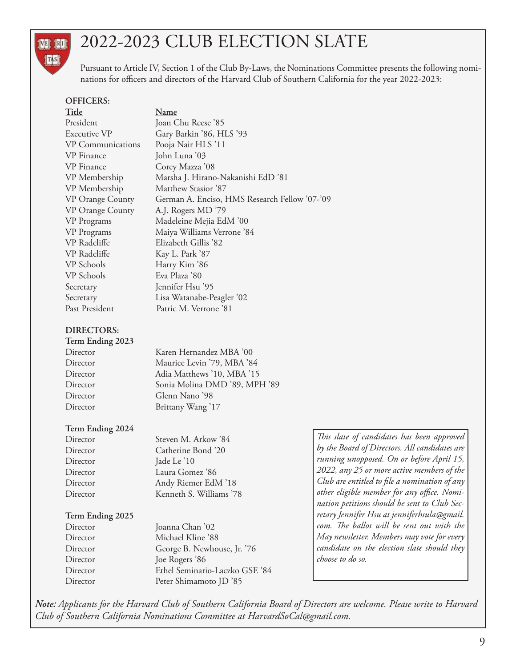## 2022-2023 CLUB ELECTION SLATE

Pursuant to Article IV, Section 1 of the Club By-Laws, the Nominations Committee presents the following nominations for officers and directors of the Harvard Club of Southern California for the year 2022-2023:

#### **OFFICERS:**

TAS

| Title                    | <u>Name</u>                                   |
|--------------------------|-----------------------------------------------|
| President                | Joan Chu Reese '85                            |
| Executive VP             | Gary Barkin '86, HLS '93                      |
| <b>VP</b> Communications | Pooja Nair HLS '11                            |
| VP Finance               | John Luna '03                                 |
| VP Finance               | Corey Mazza '08                               |
| VP Membership            | Marsha J. Hirano-Nakanishi EdD '81            |
| VP Membership            | Matthew Stasior '87                           |
| VP Orange County         | German A. Enciso, HMS Research Fellow '07-'09 |
| <b>VP</b> Orange County  | A.J. Rogers MD '79                            |
| VP Programs              | Madeleine Mejia EdM '00                       |
| VP Programs              | Maiya Williams Verrone '84                    |
| VP Radcliffe             | Elizabeth Gillis '82                          |
| VP Radcliffe             | Kay L. Park '87                               |
| VP Schools               | Harry Kim '86                                 |
| VP Schools               | Eva Plaza '80                                 |
| Secretary                | Jennifer Hsu '95                              |
| Secretary                | Lisa Watanabe-Peagler '02                     |
| Past President           | Patric M. Verrone '81                         |

#### **DIRECTORS:**

| Term Ending 2023 |                               |
|------------------|-------------------------------|
| Director         | Karen Hernandez MBA '00       |
| Director         | Maurice Levin '79, MBA '84    |
| Director         | Adia Matthews '10, MBA '15    |
| Director         | Sonia Molina DMD '89, MPH '89 |
| Director         | Glenn Nano '98                |
| Director         | Brittany Wang '17             |
|                  |                               |

#### **Term Ending 2024**

| Director | Steven M. A |
|----------|-------------|
| Director | Catherine I |
| Director | Jade Le '10 |
| Director | Laura Gom   |
| Director | Andy Riem   |
| Director | Kenneth S.  |
|          |             |

Director Steven M. Arkow '84 Director Catherine Bond '20 Director Laura Gomez '86 Director Andy Riemer EdM '18 Director Kenneth S. Williams '78

#### **Term Ending 2025**

Director Joanna Chan '02 Director Michael Kline '88 Director George B. Newhouse, Jr. '76 Director Joe Rogers '86 Director Ethel Seminario-Laczko GSE '84 Director Peter Shimamoto JD '85

*This slate of candidates has been approved by the Board of Directors. All candidates are running unopposed. On or before April 15, 2022, any 25 or more active members of the Club are entitled to file a nomination of any other eligible member for any office. Nomination petitions should be sent to Club Secretary Jennifer Hsu at jenniferhsula@gmail. com. The ballot will be sent out with the May newsletter. Members may vote for every candidate on the election slate should they choose to do so.*

*Note: Applicants for the Harvard Club of Southern California Board of Directors are welcome. Please write to Harvard Club of Southern California Nominations Committee at HarvardSoCal@gmail.com.*